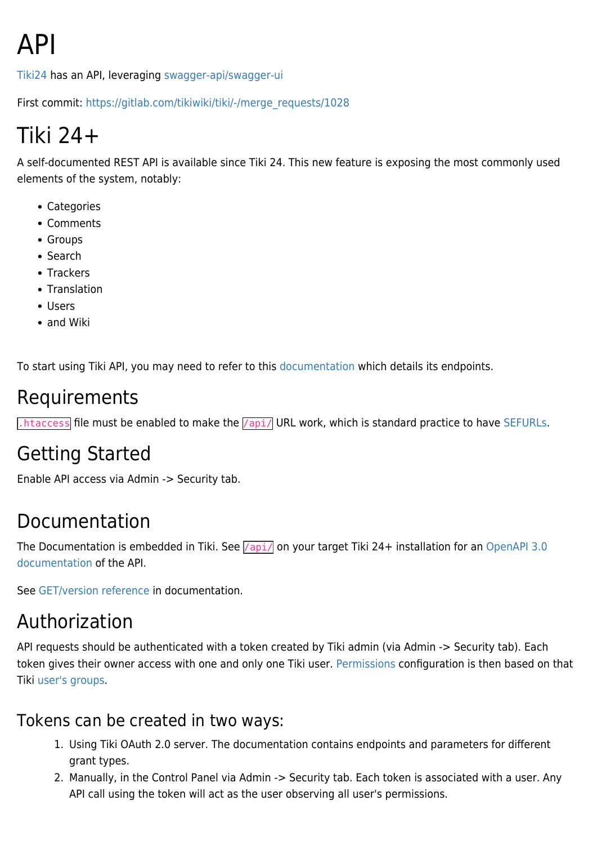# API

[Tiki24](https://doc.tiki.org/Tiki24) has an API, leveraging [swagger-api/swagger-ui](https://packagist.org/packages/swagger-api/swagger-ui)

First commit: [https://gitlab.com/tikiwiki/tiki/-/merge\\_requests/1028](https://gitlab.com/tikiwiki/tiki/-/merge_requests/1028)

# Tiki 24+

A self-documented REST API is available since Tiki 24. This new feature is exposing the most commonly used elements of the system, notably:

- Categories
- Comments
- Groups
- Search
- Trackers
- Translation
- Users
- and Wiki

To start using Tiki API, you may need to refer to this [documentation](https://doc.tiki.org/api/) which details its endpoints.

### Requirements

 $\overline{h}$ . htaccess file must be enabled to make the  $\overline{a}$  /api/ URL work, which is standard practice to have [SEFURLs](https://doc.tiki.org/SEFURLs).

### Getting Started

Enable API access via Admin -> Security tab.

### Documentation

The Documentation is embedded in Tiki. See  $\sqrt{ap1/}$  on your target Tiki 24+ installation for an [OpenAPI 3.0](https://doc.tiki.org/api/) [documentation](https://doc.tiki.org/api/) of the API.

See [GET/version reference](https://doc.tiki.org/api/#/default/get_version) in documentation.

### Authorization

API requests should be authenticated with a token created by Tiki admin (via Admin -> Security tab). Each token gives their owner access with one and only one Tiki user. [Permissions](https://doc.tiki.org/Permissions) configuration is then based on that Tiki [user's groups](https://doc.tiki.org/User-Groups).

#### Tokens can be created in two ways:

- 1. Using Tiki OAuth 2.0 server. The documentation contains endpoints and parameters for different grant types.
- 2. Manually, in the Control Panel via Admin -> Security tab. Each token is associated with a user. Any API call using the token will act as the user observing all user's permissions.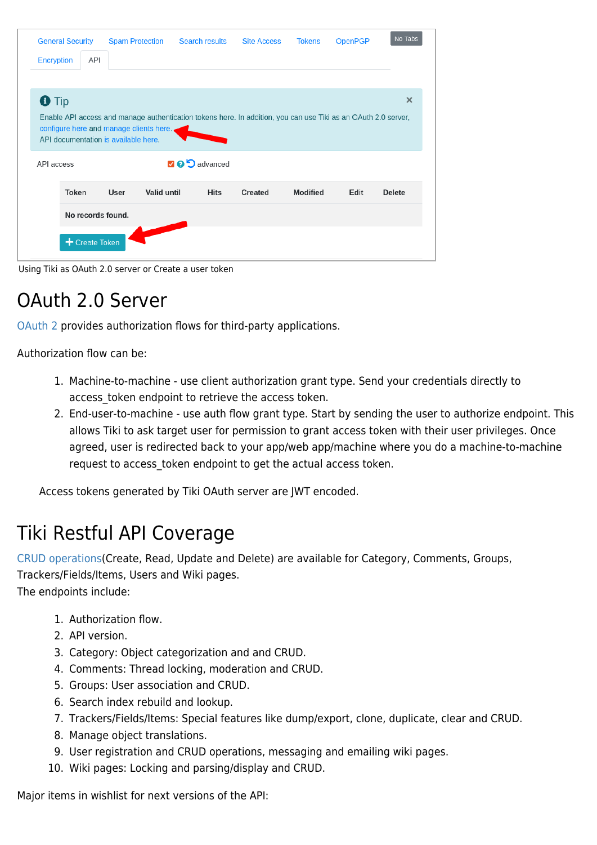| <b>General Security</b> |                   | <b>Spam Protection</b>                                                          | Search results                                                                                                 | <b>Site Access</b> | <b>Tokens</b>   | <b>OpenPGP</b> | No Tabs       |
|-------------------------|-------------------|---------------------------------------------------------------------------------|----------------------------------------------------------------------------------------------------------------|--------------------|-----------------|----------------|---------------|
| <b>Encryption</b>       | <b>API</b>        |                                                                                 |                                                                                                                |                    |                 |                |               |
|                         |                   |                                                                                 |                                                                                                                |                    |                 |                |               |
| <b>O</b> Tip            |                   |                                                                                 |                                                                                                                |                    |                 |                | $\times$      |
|                         |                   | configure here and manage clients here.<br>API documentation is available here. | Enable API access and manage authentication tokens here. In addition, you can use Tiki as an OAuth 2.0 server, |                    |                 |                |               |
| API access              |                   |                                                                                 | <b>2 9 5</b> advanced                                                                                          |                    |                 |                |               |
|                         |                   |                                                                                 |                                                                                                                |                    |                 |                |               |
|                         | <b>Token</b>      | User                                                                            | Valid until<br><b>Hits</b>                                                                                     | Created            | <b>Modified</b> | Edit           | <b>Delete</b> |
|                         | No records found. |                                                                                 |                                                                                                                |                    |                 |                |               |

Using Tiki as OAuth 2.0 server or Create a user token

### OAuth 2.0 Server

[OAuth 2](https://oauth.net/2/) provides authorization flows for third-party applications.

Authorization flow can be:

- 1. Machine-to-machine use client authorization grant type. Send your credentials directly to access token endpoint to retrieve the access token.
- 2. End-user-to-machine use auth flow grant type. Start by sending the user to authorize endpoint. This allows Tiki to ask target user for permission to grant access token with their user privileges. Once agreed, user is redirected back to your app/web app/machine where you do a machine-to-machine request to access token endpoint to get the actual access token.

Access tokens generated by Tiki OAuth server are JWT encoded.

### Tiki Restful API Coverage

[CRUD operations\(](https://en.wikipedia.org/wiki/Create,_read,_update_and_delete)Create, Read, Update and Delete) are available for Category, Comments, Groups, Trackers/Fields/Items, Users and Wiki pages.

The endpoints include:

- 1. Authorization flow.
- 2. API version.
- 3. Category: Object categorization and and CRUD.
- 4. Comments: Thread locking, moderation and CRUD.
- 5. Groups: User association and CRUD.
- 6. Search index rebuild and lookup.
- 7. Trackers/Fields/Items: Special features like dump/export, clone, duplicate, clear and CRUD.
- 8. Manage object translations.
- 9. User registration and CRUD operations, messaging and emailing wiki pages.
- 10. Wiki pages: Locking and parsing/display and CRUD.

Major items in wishlist for next versions of the API: